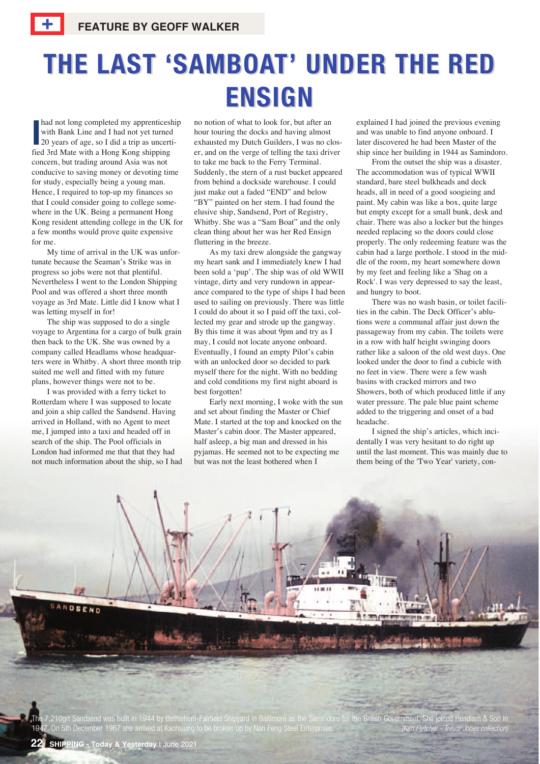## **THE LAST 'SAMBOAT' UNDER THE RED ENSIGN**

and not long completed my apprentices<br>
with Bank Line and I had not yet turned<br>
20 years of age, so I did a trip as uncer<br>
fied 3rd Mate with a Hong Kong shipping had not long completed my apprenticeship with Bank Line and I had not yet turned 20 years of age, so I did a trip as uncerticoncern, but trading around Asia was not conducive to saving money or devoting time for study, especially being a young man. Hence, I required to top-up my finances so that I could consider going to college somewhere in the UK. Being a permanent Hong Kong resident attending college in the UK for a few months would prove quite expensive for me.

My time of arrival in the UK was unfortunate because the Seaman's Strike was in progress so jobs were not that plentiful. Nevertheless I went to the London Shipping Pool and was offered a short three month voyage as 3rd Mate. Little did I know what I was letting myself in for!

The ship was supposed to do a single voyage to Argentina for a cargo of bulk grain then back to the UK. She was owned by a company called Headlams whose headquarters were in Whitby. A short three month trip suited me well and fitted with my future plans, however things were not to be.

I was provided with a ferry ticket to Rotterdam where I was supposed to locate and join a ship called the Sandsend. Having arrived in Holland, with no Agent to meet me, I jumped into a taxi and headed off in search of the ship. The Pool officials in London had informed me that that they had not much information about the ship, so I had

no notion of what to look for, but after an hour touring the docks and having almost exhausted my Dutch Guilders, I was no closer, and on the verge of telling the taxi driver to take me back to the Ferry Terminal. Suddenly, the stern of a rust bucket appeared from behind a dockside warehouse. I could just make out a faded "END" and below "BY" painted on her stern. I had found the elusive ship, Sandsend, Port of Registry, Whitby. She was a "Sam Boat" and the only clean thing about her was her Red Ensign fluttering in the breeze.

As my taxi drew alongside the gangway my heart sank and I immediately knew I had been sold a 'pup'. The ship was of old WWII vintage, dirty and very rundown in appearance compared to the type of ships I had been used to sailing on previously. There was little I could do about it so I paid off the taxi, collected my gear and strode up the gangway. By this time it was about 9pm and try as I may, I could not locate anyone onboard. Eventually, I found an empty Pilot's cabin with an unlocked door so decided to park myself there for the night. With no bedding and cold conditions my first night aboard is best forgotten!

Early next morning, I woke with the sun and set about finding the Master or Chief Mate. I started at the top and knocked on the Master's cabin door. The Master appeared, half asleep, a big man and dressed in his pyjamas. He seemed not to be expecting me but was not the least bothered when I

explained I had joined the previous evening and was unable to find anyone onboard. I later discovered he had been Master of the ship since her building in 1944 as Samindoro.

From the outset the ship was a disaster. The accommodation was of typical WWII standard, bare steel bulkheads and deck heads, all in need of a good soogieing and paint. My cabin was like a box, quite large but empty except for a small bunk, desk and chair. There was also a locker but the hinges needed replacing so the doors could close properly. The only redeeming feature was the cabin had a large porthole. I stood in the middle of the room, my heart somewhere down by my feet and feeling like a 'Shag on a Rock'. I was very depressed to say the least, and hungry to boot.

There was no wash basin, or toilet facilities in the cabin. The Deck Officer's ablutions were a communal affair just down the passageway from my cabin. The toilets were in a row with half height swinging doors rather like a saloon of the old west days. One looked under the door to find a cubicle with no feet in view. There were a few wash basins with cracked mirrors and two Showers, both of which produced little if any water pressure. The pale blue paint scheme added to the triggering and onset of a bad headache.

I signed the ship's articles, which incidentally I was very hesitant to do right up until the last moment. This was mainly due to them being of the 'Two Year' variety, con-

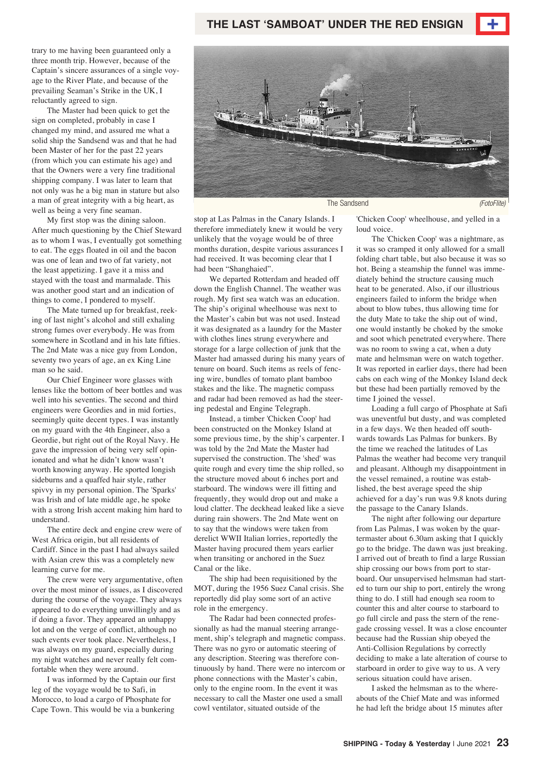trary to me having been guaranteed only a three month trip. However, because of the Captain's sincere assurances of a single voyage to the River Plate, and because of the prevailing Seaman's Strike in the UK, I reluctantly agreed to sign.

The Master had been quick to get the sign on completed, probably in case I changed my mind, and assured me what a solid ship the Sandsend was and that he had been Master of her for the past 22 years (from which you can estimate his age) and that the Owners were a very fine traditional shipping company. I was later to learn that not only was he a big man in stature but also a man of great integrity with a big heart, as well as being a very fine seaman.

My first stop was the dining saloon. After much questioning by the Chief Steward as to whom I was, I eventually got something to eat. The eggs floated in oil and the bacon was one of lean and two of fat variety, not the least appetizing. I gave it a miss and stayed with the toast and marmalade. This was another good start and an indication of things to come, I pondered to myself.

The Mate turned up for breakfast, reeking of last night's alcohol and still exhaling strong fumes over everybody. He was from somewhere in Scotland and in his late fifties. The 2nd Mate was a nice guy from London, seventy two years of age, an ex King Line man so he said.

Our Chief Engineer wore glasses with lenses like the bottom of beer bottles and was well into his seventies. The second and third engineers were Geordies and in mid forties, seemingly quite decent types. I was instantly on my guard with the 4th Engineer, also a Geordie, but right out of the Royal Navy. He gave the impression of being very self opinionated and what he didn't know wasn't worth knowing anyway. He sported longish sideburns and a quaffed hair style, rather spivvy in my personal opinion. The 'Sparks' was Irish and of late middle age, he spoke with a strong Irish accent making him hard to understand.

The entire deck and engine crew were of West Africa origin, but all residents of Cardiff. Since in the past I had always sailed with Asian crew this was a completely new learning curve for me.

The crew were very argumentative, often over the most minor of issues, as I discovered during the course of the voyage. They always appeared to do everything unwillingly and as if doing a favor. They appeared an unhappy lot and on the verge of conflict, although no such events ever took place. Nevertheless, I was always on my guard, especially during my night watches and never really felt comfortable when they were around.

I was informed by the Captain our first leg of the voyage would be to Safi, in Morocco, to load a cargo of Phosphate for Cape Town. This would be via a bunkering



stop at Las Palmas in the Canary Islands. I therefore immediately knew it would be very unlikely that the voyage would be of three months duration, despite various assurances I had received. It was becoming clear that I had been "Shanghaied".

We departed Rotterdam and headed off down the English Channel. The weather was rough. My first sea watch was an education. The ship's original wheelhouse was next to the Master's cabin but was not used. Instead it was designated as a laundry for the Master with clothes lines strung everywhere and storage for a large collection of junk that the Master had amassed during his many years of tenure on board. Such items as reels of fencing wire, bundles of tomato plant bamboo stakes and the like. The magnetic compass and radar had been removed as had the steering pedestal and Engine Telegraph.

Instead, a timber 'Chicken Coop' had been constructed on the Monkey Island at some previous time, by the ship's carpenter. I was told by the 2nd Mate the Master had supervised the construction. The 'shed' was quite rough and every time the ship rolled, so the structure moved about 6 inches port and starboard. The windows were ill fitting and frequently, they would drop out and make a loud clatter. The deckhead leaked like a sieve during rain showers. The 2nd Mate went on to say that the windows were taken from derelict WWII Italian lorries, reportedly the Master having procured them years earlier when transiting or anchored in the Suez Canal or the like.

The ship had been requisitioned by the MOT, during the 1956 Suez Canal crisis. She reportedly did play some sort of an active role in the emergency.

The Radar had been connected professionally as had the manual steering arrangement, ship's telegraph and magnetic compass. There was no gyro or automatic steering of any description. Steering was therefore continuously by hand. There were no intercom or phone connections with the Master's cabin, only to the engine room. In the event it was necessary to call the Master one used a small cowl ventilator, situated outside of the

'Chicken Coop' wheelhouse, and yelled in a loud voice.

The 'Chicken Coop' was a nightmare, as it was so cramped it only allowed for a small folding chart table, but also because it was so hot. Being a steamship the funnel was immediately behind the structure causing much heat to be generated. Also, if our illustrious engineers failed to inform the bridge when about to blow tubes, thus allowing time for the duty Mate to take the ship out of wind, one would instantly be choked by the smoke and soot which penetrated everywhere. There was no room to swing a cat, when a duty mate and helmsman were on watch together. It was reported in earlier days, there had been cabs on each wing of the Monkey Island deck but these had been partially removed by the time I joined the vessel.

Loading a full cargo of Phosphate at Safi was uneventful but dusty, and was completed in a few days. We then headed off southwards towards Las Palmas for bunkers. By the time we reached the latitudes of Las Palmas the weather had become very tranquil and pleasant. Although my disappointment in the vessel remained, a routine was established, the best average speed the ship achieved for a day's run was 9.8 knots during the passage to the Canary Islands.

The night after following our departure from Las Palmas, I was woken by the quartermaster about 6.30am asking that I quickly go to the bridge. The dawn was just breaking. I arrived out of breath to find a large Russian ship crossing our bows from port to starboard. Our unsupervised helmsman had started to turn our ship to port, entirely the wrong thing to do. I still had enough sea room to counter this and alter course to starboard to go full circle and pass the stern of the renegade crossing vessel. It was a close encounter because had the Russian ship obeyed the Anti-Collision Regulations by correctly deciding to make a late alteration of course to starboard in order to give way to us. A very serious situation could have arisen.

I asked the helmsman as to the whereabouts of the Chief Mate and was informed he had left the bridge about 15 minutes after